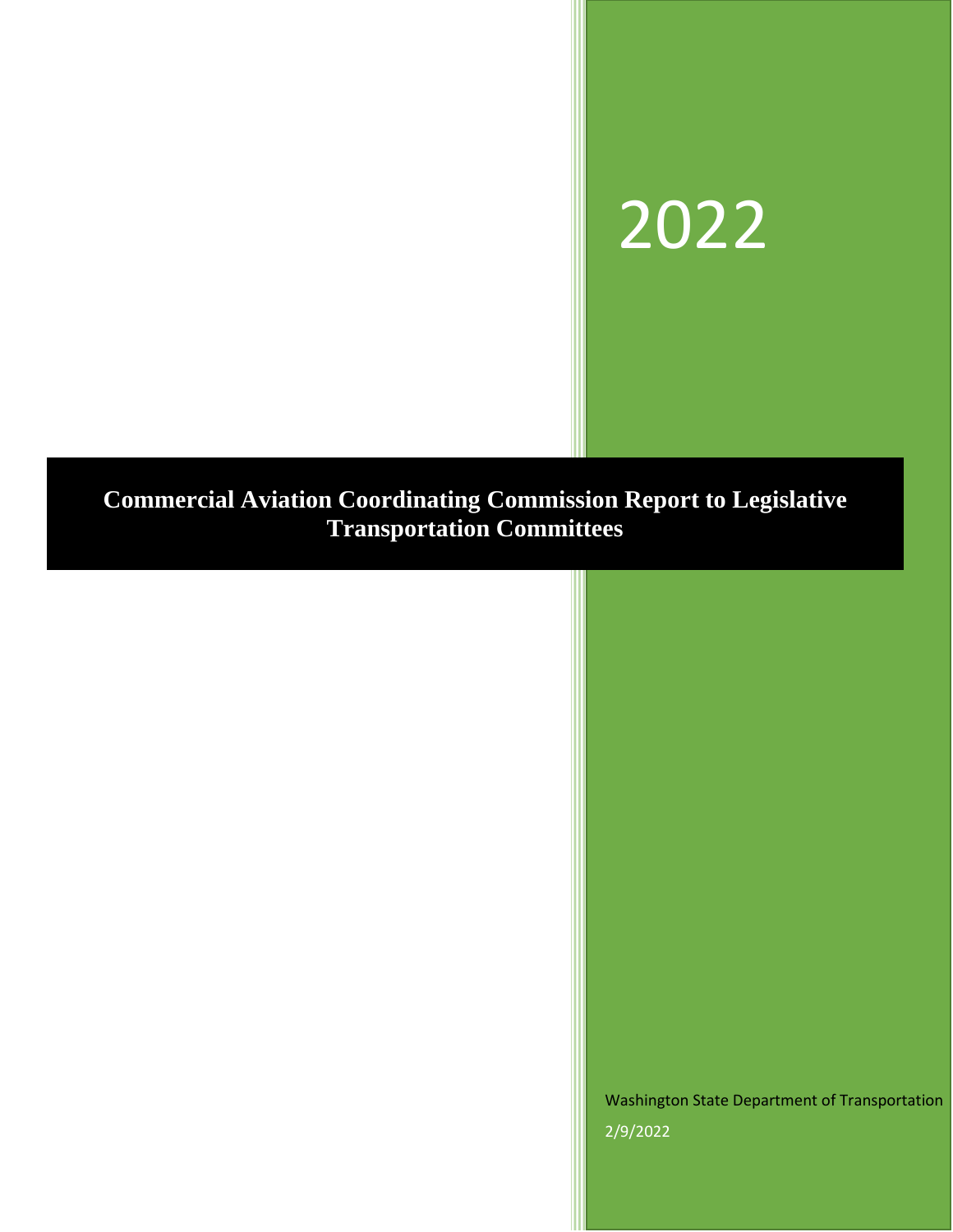# 2022

# **Commercial Aviation Coordinating Commission Report to Legislative Transportation Committees**

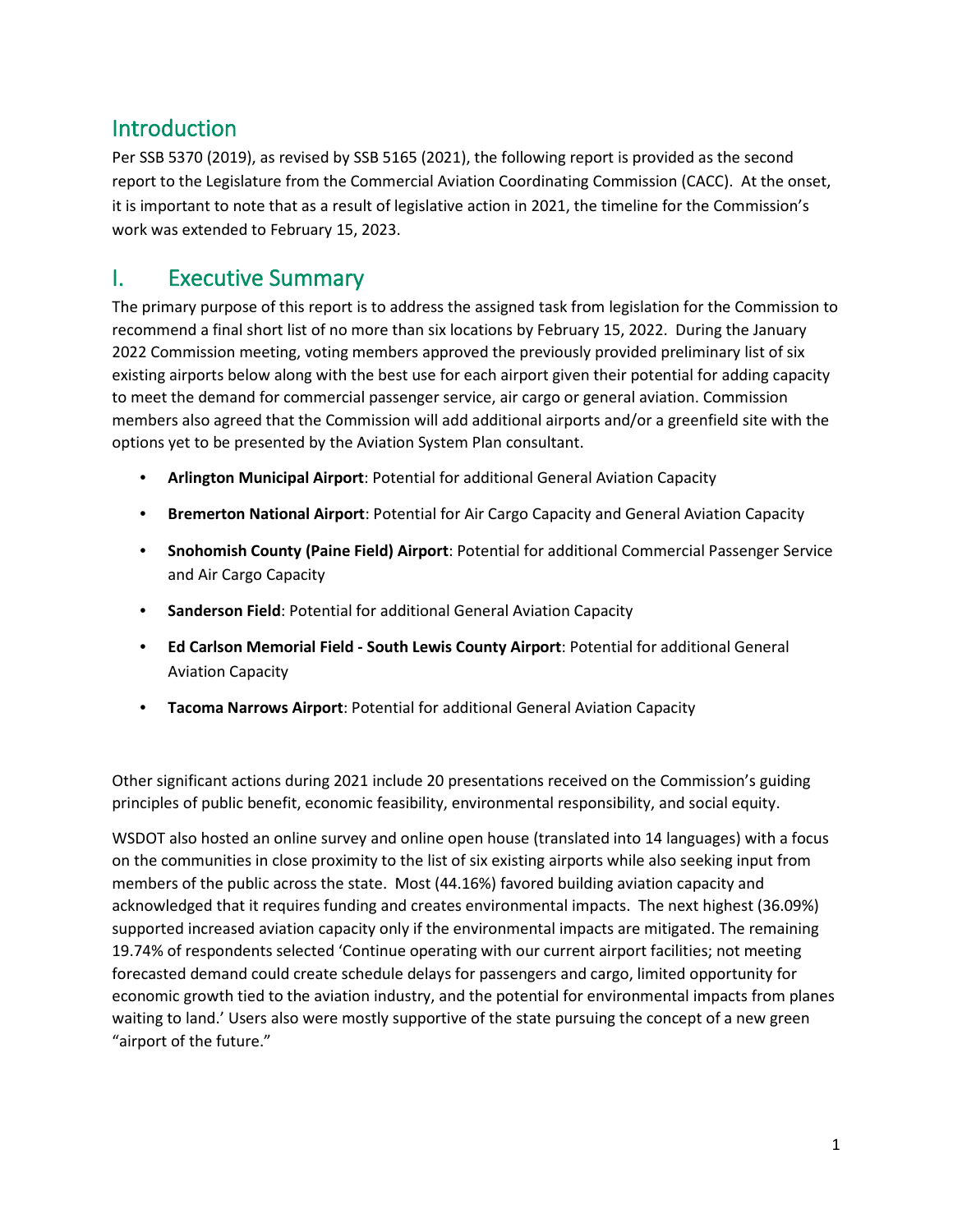## Introduction

Per SSB 5370 (2019), as revised by SSB 5165 (2021), the following report is provided as the second report to the Legislature from the Commercial Aviation Coordinating Commission (CACC). At the onset, it is important to note that as a result of legislative action in 2021, the timeline for the Commission's work was extended to February 15, 2023.

## I. Executive Summary

The primary purpose of this report is to address the assigned task from legislation for the Commission to recommend a final short list of no more than six locations by February 15, 2022. During the January 2022 Commission meeting, voting members approved the previously provided preliminary list of six existing airports below along with the best use for each airport given their potential for adding capacity to meet the demand for commercial passenger service, air cargo or general aviation. Commission members also agreed that the Commission will add additional airports and/or a greenfield site with the options yet to be presented by the Aviation System Plan consultant.

- **Arlington Municipal Airport**: Potential for additional General Aviation Capacity
- **Bremerton National Airport**: Potential for Air Cargo Capacity and General Aviation Capacity
- **Snohomish County (Paine Field) Airport**: Potential for additional Commercial Passenger Service and Air Cargo Capacity
- **Sanderson Field**: Potential for additional General Aviation Capacity
- **Ed Carlson Memorial Field South Lewis County Airport**: Potential for additional General Aviation Capacity
- **Tacoma Narrows Airport**: Potential for additional General Aviation Capacity

Other significant actions during 2021 include 20 presentations received on the Commission's guiding principles of public benefit, economic feasibility, environmental responsibility, and social equity.

WSDOT also hosted an online survey and online open house (translated into 14 languages) with a focus on the communities in close proximity to the list of six existing airports while also seeking input from members of the public across the state. Most (44.16%) favored building aviation capacity and acknowledged that it requires funding and creates environmental impacts. The next highest (36.09%) supported increased aviation capacity only if the environmental impacts are mitigated. The remaining 19.74% of respondents selected 'Continue operating with our current airport facilities; not meeting forecasted demand could create schedule delays for passengers and cargo, limited opportunity for economic growth tied to the aviation industry, and the potential for environmental impacts from planes waiting to land.' Users also were mostly supportive of the state pursuing the concept of a new green "airport of the future."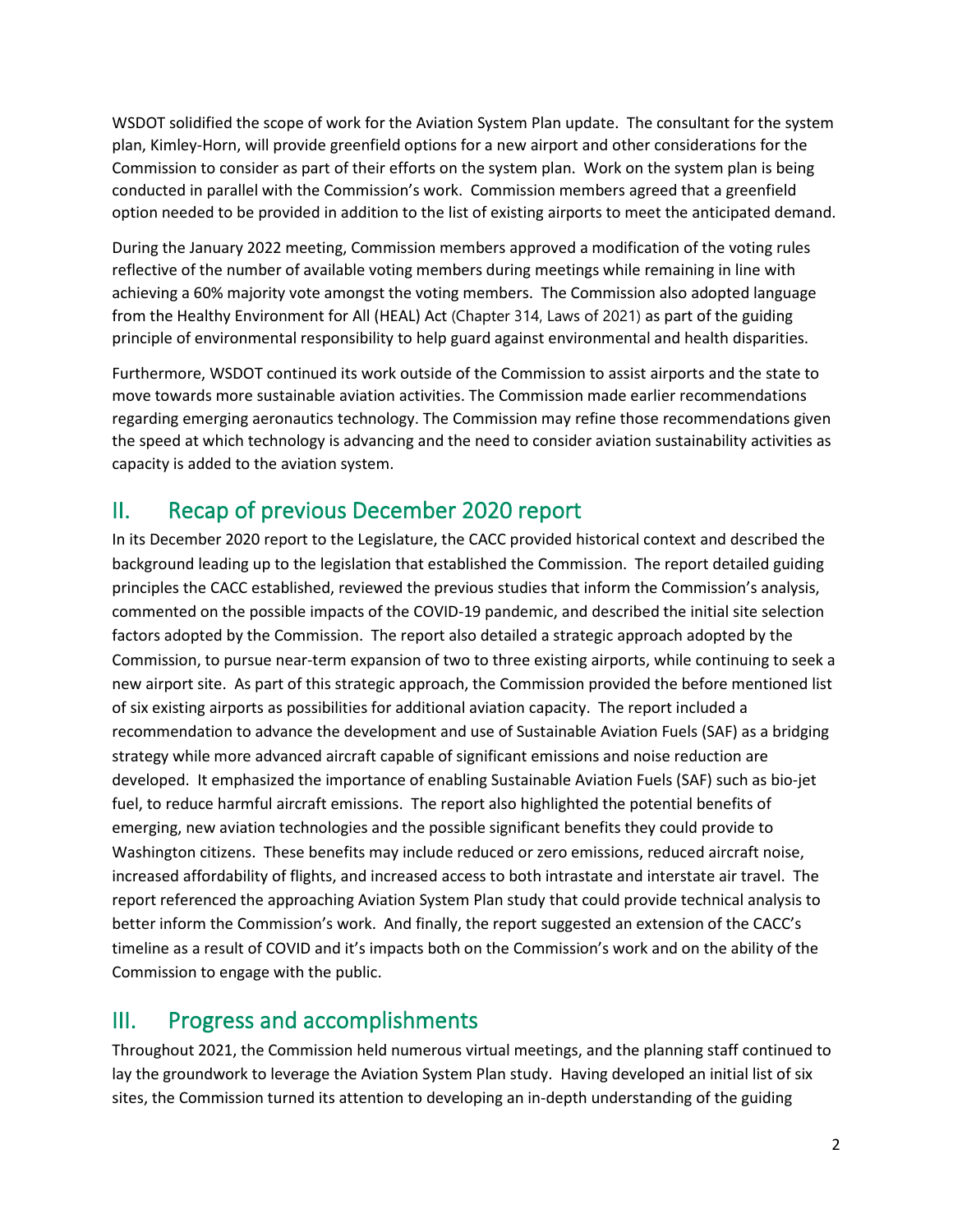WSDOT solidified the scope of work for the Aviation System Plan update. The consultant for the system plan, Kimley-Horn, will provide greenfield options for a new airport and other considerations for the Commission to consider as part of their efforts on the system plan. Work on the system plan is being conducted in parallel with the Commission's work. Commission members agreed that a greenfield option needed to be provided in addition to the list of existing airports to meet the anticipated demand.

During the January 2022 meeting, Commission members approved a modification of the voting rules reflective of the number of available voting members during meetings while remaining in line with achieving a 60% majority vote amongst the voting members. The Commission also adopted language from the Healthy Environment for All (HEAL) Act (Chapter 314, Laws of 2021) as part of the guiding principle of environmental responsibility to help guard against environmental and health disparities.

Furthermore, WSDOT continued its work outside of the Commission to assist airports and the state to move towards more sustainable aviation activities. The Commission made earlier recommendations regarding emerging aeronautics technology. The Commission may refine those recommendations given the speed at which technology is advancing and the need to consider aviation sustainability activities as capacity is added to the aviation system.

## II. Recap of previous December 2020 report

In its December 2020 report to the Legislature, the CACC provided historical context and described the background leading up to the legislation that established the Commission. The report detailed guiding principles the CACC established, reviewed the previous studies that inform the Commission's analysis, commented on the possible impacts of the COVID-19 pandemic, and described the initial site selection factors adopted by the Commission. The report also detailed a strategic approach adopted by the Commission, to pursue near-term expansion of two to three existing airports, while continuing to seek a new airport site. As part of this strategic approach, the Commission provided the before mentioned list of six existing airports as possibilities for additional aviation capacity. The report included a recommendation to advance the development and use of Sustainable Aviation Fuels (SAF) as a bridging strategy while more advanced aircraft capable of significant emissions and noise reduction are developed. It emphasized the importance of enabling Sustainable Aviation Fuels (SAF) such as bio-jet fuel, to reduce harmful aircraft emissions. The report also highlighted the potential benefits of emerging, new aviation technologies and the possible significant benefits they could provide to Washington citizens. These benefits may include reduced or zero emissions, reduced aircraft noise, increased affordability of flights, and increased access to both intrastate and interstate air travel. The report referenced the approaching Aviation System Plan study that could provide technical analysis to better inform the Commission's work. And finally, the report suggested an extension of the CACC's timeline as a result of COVID and it's impacts both on the Commission's work and on the ability of the Commission to engage with the public.

## III. Progress and accomplishments

Throughout 2021, the Commission held numerous virtual meetings, and the planning staff continued to lay the groundwork to leverage the Aviation System Plan study. Having developed an initial list of six sites, the Commission turned its attention to developing an in-depth understanding of the guiding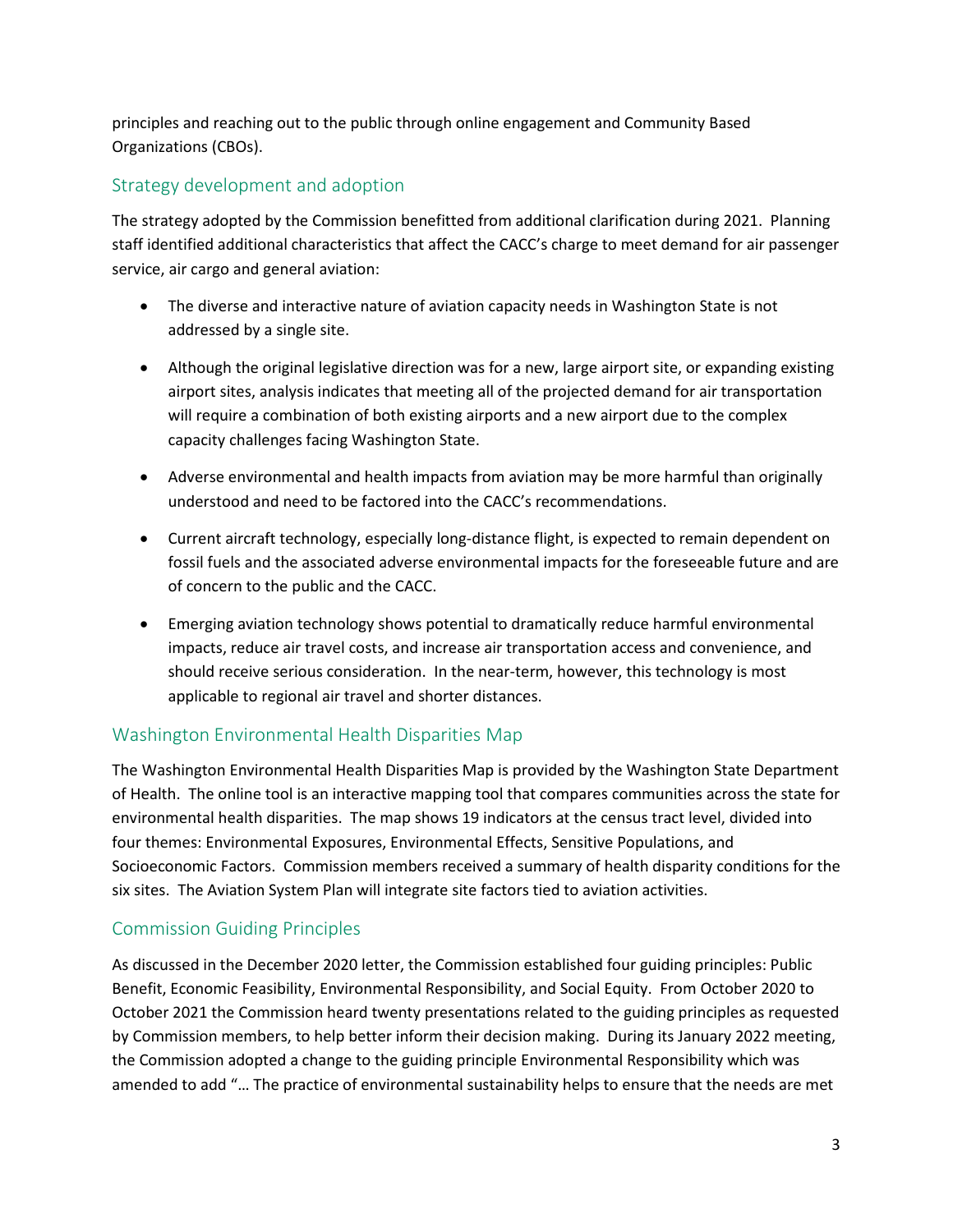principles and reaching out to the public through online engagement and Community Based Organizations (CBOs).

## Strategy development and adoption

The strategy adopted by the Commission benefitted from additional clarification during 2021. Planning staff identified additional characteristics that affect the CACC's charge to meet demand for air passenger service, air cargo and general aviation:

- The diverse and interactive nature of aviation capacity needs in Washington State is not addressed by a single site.
- Although the original legislative direction was for a new, large airport site, or expanding existing airport sites, analysis indicates that meeting all of the projected demand for air transportation will require a combination of both existing airports and a new airport due to the complex capacity challenges facing Washington State.
- Adverse environmental and health impacts from aviation may be more harmful than originally understood and need to be factored into the CACC's recommendations.
- Current aircraft technology, especially long-distance flight, is expected to remain dependent on fossil fuels and the associated adverse environmental impacts for the foreseeable future and are of concern to the public and the CACC.
- Emerging aviation technology shows potential to dramatically reduce harmful environmental impacts, reduce air travel costs, and increase air transportation access and convenience, and should receive serious consideration. In the near-term, however, this technology is most applicable to regional air travel and shorter distances.

## Washington Environmental Health Disparities Map

The Washington Environmental Health Disparities Map is provided by the Washington State Department of Health. The online tool is an interactive mapping tool that compares communities across the state for environmental health disparities. The map shows 19 indicators at the census tract level, divided into four themes: Environmental Exposures, Environmental Effects, Sensitive Populations, and Socioeconomic Factors. Commission members received a summary of health disparity conditions for the six sites. The Aviation System Plan will integrate site factors tied to aviation activities.

## Commission Guiding Principles

As discussed in the December 2020 letter, the Commission established four guiding principles: Public Benefit, Economic Feasibility, Environmental Responsibility, and Social Equity. From October 2020 to October 2021 the Commission heard twenty presentations related to the guiding principles as requested by Commission members, to help better inform their decision making. During its January 2022 meeting, the Commission adopted a change to the guiding principle Environmental Responsibility which was amended to add "… The practice of environmental sustainability helps to ensure that the needs are met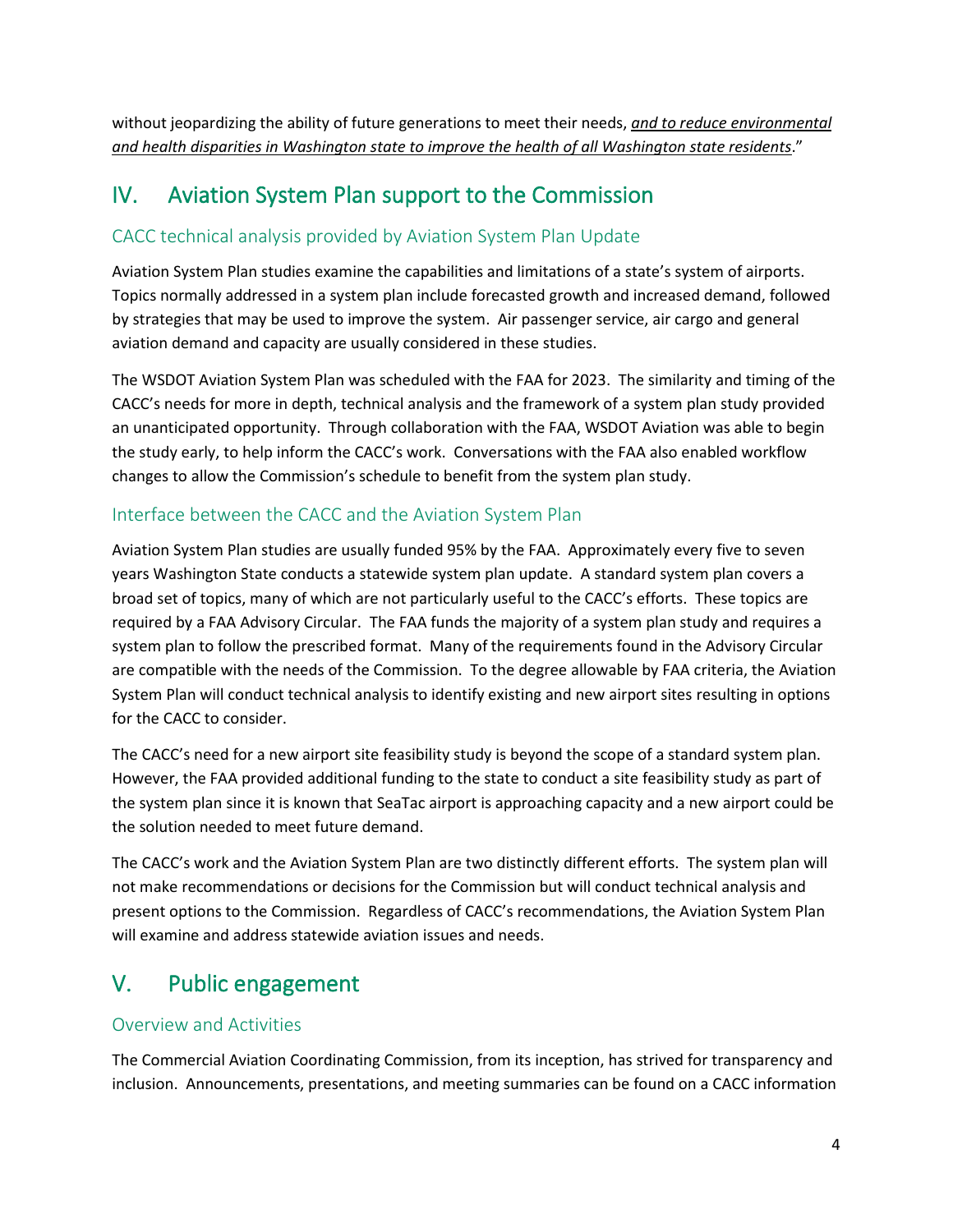without jeopardizing the ability of future generations to meet their needs, *and to reduce environmental and health disparities in Washington state to improve the health of all Washington state residents*."

## IV. Aviation System Plan support to the Commission

## CACC technical analysis provided by Aviation System Plan Update

Aviation System Plan studies examine the capabilities and limitations of a state's system of airports. Topics normally addressed in a system plan include forecasted growth and increased demand, followed by strategies that may be used to improve the system. Air passenger service, air cargo and general aviation demand and capacity are usually considered in these studies.

The WSDOT Aviation System Plan was scheduled with the FAA for 2023. The similarity and timing of the CACC's needs for more in depth, technical analysis and the framework of a system plan study provided an unanticipated opportunity. Through collaboration with the FAA, WSDOT Aviation was able to begin the study early, to help inform the CACC's work. Conversations with the FAA also enabled workflow changes to allow the Commission's schedule to benefit from the system plan study.

## Interface between the CACC and the Aviation System Plan

Aviation System Plan studies are usually funded 95% by the FAA. Approximately every five to seven years Washington State conducts a statewide system plan update. A standard system plan covers a broad set of topics, many of which are not particularly useful to the CACC's efforts. These topics are required by a FAA Advisory Circular. The FAA funds the majority of a system plan study and requires a system plan to follow the prescribed format. Many of the requirements found in the Advisory Circular are compatible with the needs of the Commission. To the degree allowable by FAA criteria, the Aviation System Plan will conduct technical analysis to identify existing and new airport sites resulting in options for the CACC to consider.

The CACC's need for a new airport site feasibility study is beyond the scope of a standard system plan. However, the FAA provided additional funding to the state to conduct a site feasibility study as part of the system plan since it is known that SeaTac airport is approaching capacity and a new airport could be the solution needed to meet future demand.

The CACC's work and the Aviation System Plan are two distinctly different efforts. The system plan will not make recommendations or decisions for the Commission but will conduct technical analysis and present options to the Commission. Regardless of CACC's recommendations, the Aviation System Plan will examine and address statewide aviation issues and needs.

# V. Public engagement

## Overview and Activities

The Commercial Aviation Coordinating Commission, from its inception, has strived for transparency and inclusion. Announcements, presentations, and meeting summaries can be found on a CACC information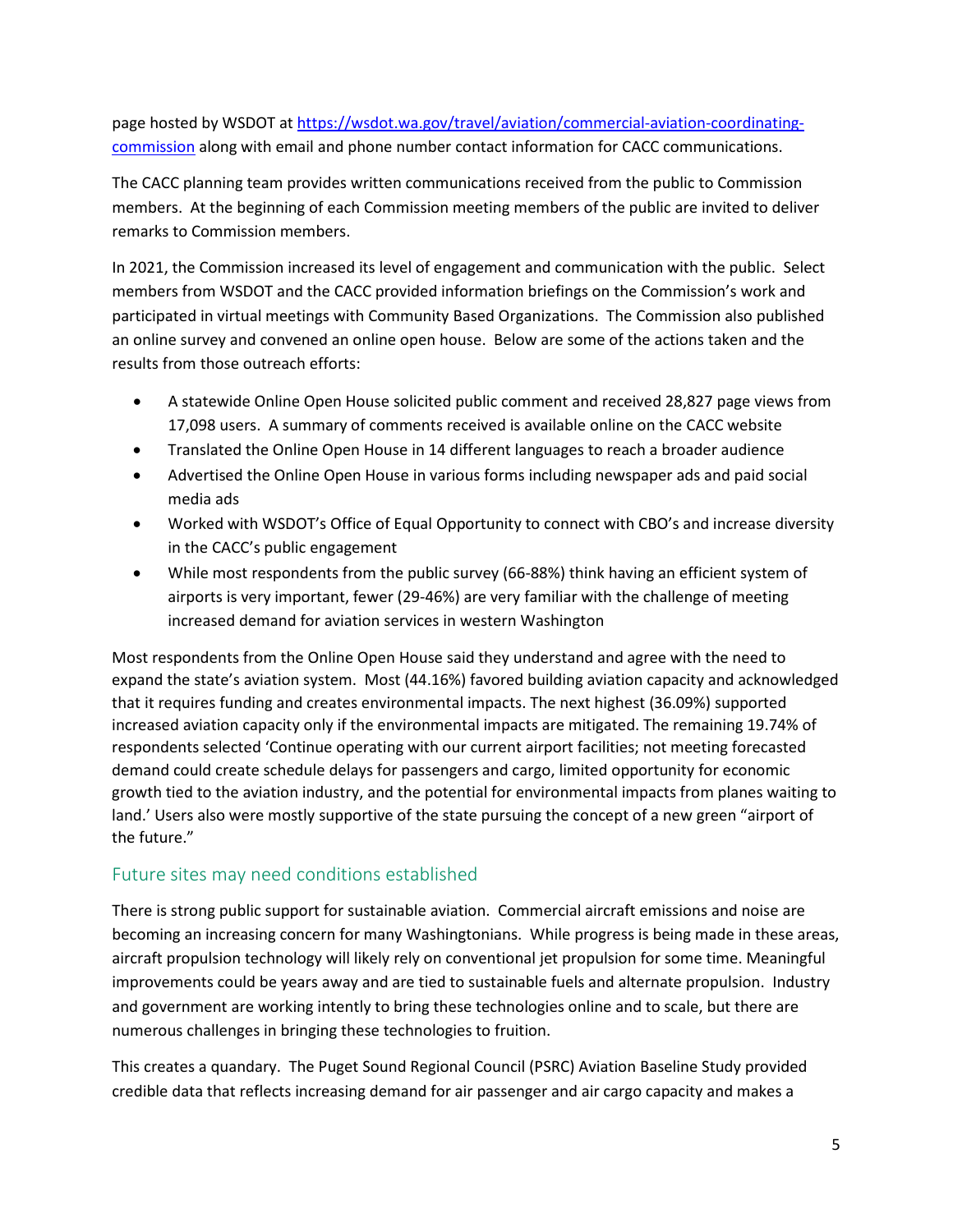page hosted by WSDOT at [https://wsdot.wa.gov/travel/aviation/commercial-aviation-coordinating](https://wsdot.wa.gov/travel/aviation/commercial-aviation-coordinating-commission)[commission](https://wsdot.wa.gov/travel/aviation/commercial-aviation-coordinating-commission) along with email and phone number contact information for CACC communications.

The CACC planning team provides written communications received from the public to Commission members. At the beginning of each Commission meeting members of the public are invited to deliver remarks to Commission members.

In 2021, the Commission increased its level of engagement and communication with the public. Select members from WSDOT and the CACC provided information briefings on the Commission's work and participated in virtual meetings with Community Based Organizations. The Commission also published an online survey and convened an online open house. Below are some of the actions taken and the results from those outreach efforts:

- A statewide Online Open House solicited public comment and received 28,827 page views from 17,098 users. A summary of comments received is available online on the CACC website
- Translated the Online Open House in 14 different languages to reach a broader audience
- Advertised the Online Open House in various forms including newspaper ads and paid social media ads
- Worked with WSDOT's Office of Equal Opportunity to connect with CBO's and increase diversity in the CACC's public engagement
- While most respondents from the public survey (66-88%) think having an efficient system of airports is very important, fewer (29-46%) are very familiar with the challenge of meeting increased demand for aviation services in western Washington

Most respondents from the Online Open House said they understand and agree with the need to expand the state's aviation system. Most (44.16%) favored building aviation capacity and acknowledged that it requires funding and creates environmental impacts. The next highest (36.09%) supported increased aviation capacity only if the environmental impacts are mitigated. The remaining 19.74% of respondents selected 'Continue operating with our current airport facilities; not meeting forecasted demand could create schedule delays for passengers and cargo, limited opportunity for economic growth tied to the aviation industry, and the potential for environmental impacts from planes waiting to land.' Users also were mostly supportive of the state pursuing the concept of a new green "airport of the future."

## Future sites may need conditions established

There is strong public support for sustainable aviation. Commercial aircraft emissions and noise are becoming an increasing concern for many Washingtonians. While progress is being made in these areas, aircraft propulsion technology will likely rely on conventional jet propulsion for some time. Meaningful improvements could be years away and are tied to sustainable fuels and alternate propulsion. Industry and government are working intently to bring these technologies online and to scale, but there are numerous challenges in bringing these technologies to fruition.

This creates a quandary. The Puget Sound Regional Council (PSRC) Aviation Baseline Study provided credible data that reflects increasing demand for air passenger and air cargo capacity and makes a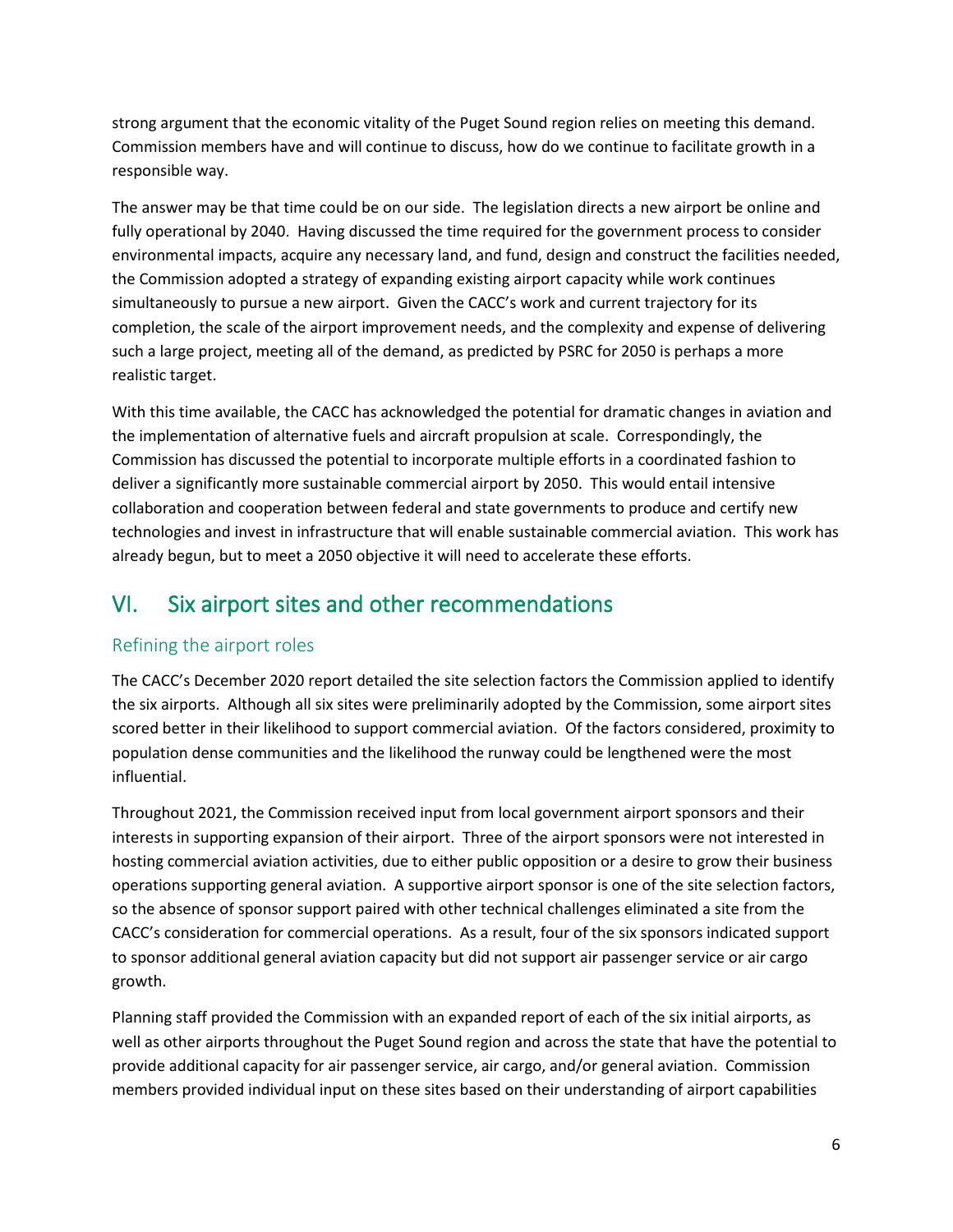strong argument that the economic vitality of the Puget Sound region relies on meeting this demand. Commission members have and will continue to discuss, how do we continue to facilitate growth in a responsible way.

The answer may be that time could be on our side. The legislation directs a new airport be online and fully operational by 2040. Having discussed the time required for the government process to consider environmental impacts, acquire any necessary land, and fund, design and construct the facilities needed, the Commission adopted a strategy of expanding existing airport capacity while work continues simultaneously to pursue a new airport. Given the CACC's work and current trajectory for its completion, the scale of the airport improvement needs, and the complexity and expense of delivering such a large project, meeting all of the demand, as predicted by PSRC for 2050 is perhaps a more realistic target.

With this time available, the CACC has acknowledged the potential for dramatic changes in aviation and the implementation of alternative fuels and aircraft propulsion at scale. Correspondingly, the Commission has discussed the potential to incorporate multiple efforts in a coordinated fashion to deliver a significantly more sustainable commercial airport by 2050. This would entail intensive collaboration and cooperation between federal and state governments to produce and certify new technologies and invest in infrastructure that will enable sustainable commercial aviation. This work has already begun, but to meet a 2050 objective it will need to accelerate these efforts.

# VI. Six airport sites and other recommendations

## Refining the airport roles

The CACC's December 2020 report detailed the site selection factors the Commission applied to identify the six airports. Although all six sites were preliminarily adopted by the Commission, some airport sites scored better in their likelihood to support commercial aviation. Of the factors considered, proximity to population dense communities and the likelihood the runway could be lengthened were the most influential.

Throughout 2021, the Commission received input from local government airport sponsors and their interests in supporting expansion of their airport. Three of the airport sponsors were not interested in hosting commercial aviation activities, due to either public opposition or a desire to grow their business operations supporting general aviation. A supportive airport sponsor is one of the site selection factors, so the absence of sponsor support paired with other technical challenges eliminated a site from the CACC's consideration for commercial operations. As a result, four of the six sponsors indicated support to sponsor additional general aviation capacity but did not support air passenger service or air cargo growth.

Planning staff provided the Commission with an expanded report of each of the six initial airports, as well as other airports throughout the Puget Sound region and across the state that have the potential to provide additional capacity for air passenger service, air cargo, and/or general aviation. Commission members provided individual input on these sites based on their understanding of airport capabilities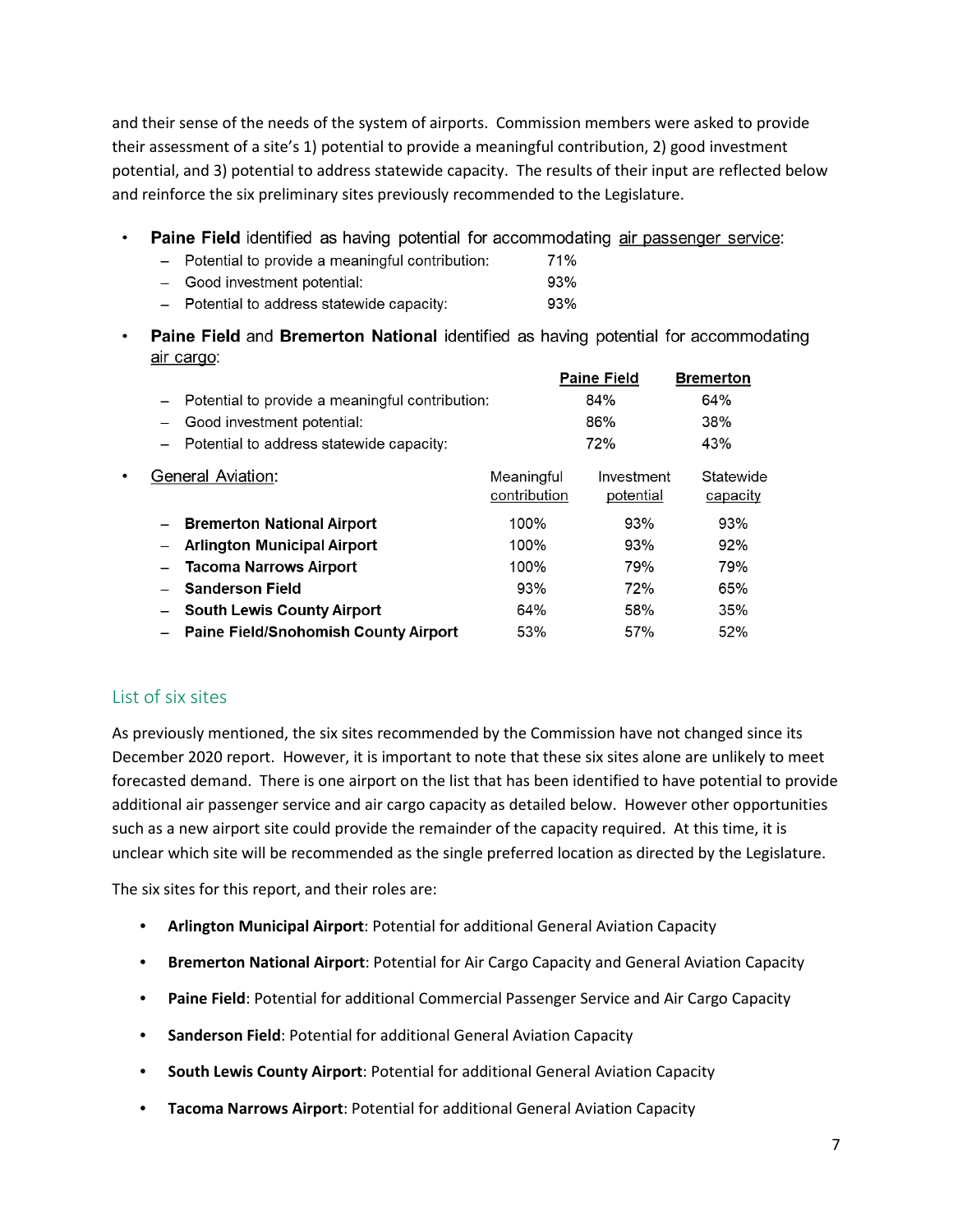and their sense of the needs of the system of airports. Commission members were asked to provide their assessment of a site's 1) potential to provide a meaningful contribution, 2) good investment potential, and 3) potential to address statewide capacity. The results of their input are reflected below and reinforce the six preliminary sites previously recommended to the Legislature.

- $\bullet$ **Paine Field** identified as having potential for accommodating air passenger service:
	- Potential to provide a meaningful contribution: 71%
	- Good investment potential: 93%
	- Potential to address statewide capacity: 93%
- Paine Field and Bremerton National identified as having potential for accommodating  $\bullet$ air cargo:

|                                                 |                            | <b>Paine Field</b>      | <b>Bremerton</b>      |
|-------------------------------------------------|----------------------------|-------------------------|-----------------------|
| Potential to provide a meaningful contribution: |                            | 84%                     | 64%                   |
| Good investment potential:                      |                            | 86%                     | 38%                   |
| Potential to address statewide capacity:        |                            | 72%                     | 43%                   |
| <b>General Aviation:</b>                        | Meaningful<br>contribution | Investment<br>potential | Statewide<br>capacity |
| <b>Bremerton National Airport</b>               | 100%                       | 93%                     | 93%                   |
| <b>Arlington Municipal Airport</b>              | 100%                       | 93%                     | 92%                   |
| <b>Tacoma Narrows Airport</b>                   | 100%                       | 79%                     | 79%                   |
| <b>Sanderson Field</b>                          | 93%                        | 72%                     | 65%                   |
| <b>South Lewis County Airport</b>               | 64%                        | 58%                     | 35%                   |
| <b>Paine Field/Snohomish County Airport</b>     | 53%                        | 57%                     | 52%                   |

## List of six sites

 $\bullet$ 

As previously mentioned, the six sites recommended by the Commission have not changed since its December 2020 report. However, it is important to note that these six sites alone are unlikely to meet forecasted demand. There is one airport on the list that has been identified to have potential to provide additional air passenger service and air cargo capacity as detailed below. However other opportunities such as a new airport site could provide the remainder of the capacity required. At this time, it is unclear which site will be recommended as the single preferred location as directed by the Legislature.

The six sites for this report, and their roles are:

- **Arlington Municipal Airport**: Potential for additional General Aviation Capacity
- **Bremerton National Airport**: Potential for Air Cargo Capacity and General Aviation Capacity
- **Paine Field**: Potential for additional Commercial Passenger Service and Air Cargo Capacity
- **Sanderson Field**: Potential for additional General Aviation Capacity
- **South Lewis County Airport**: Potential for additional General Aviation Capacity
- **Tacoma Narrows Airport**: Potential for additional General Aviation Capacity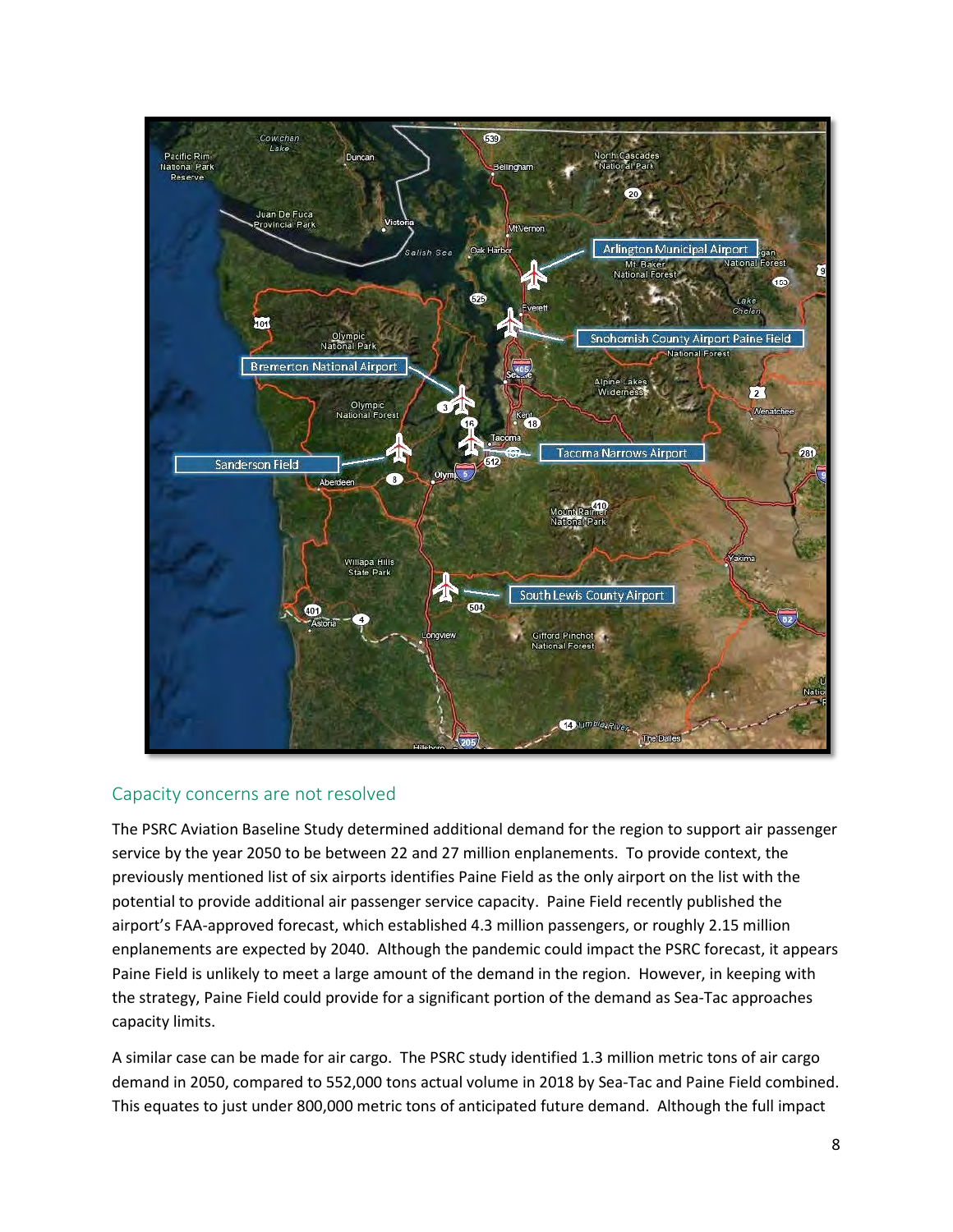

#### Capacity concerns are not resolved

The PSRC Aviation Baseline Study determined additional demand for the region to support air passenger service by the year 2050 to be between 22 and 27 million enplanements. To provide context, the previously mentioned list of six airports identifies Paine Field as the only airport on the list with the potential to provide additional air passenger service capacity. Paine Field recently published the airport's FAA-approved forecast, which established 4.3 million passengers, or roughly 2.15 million enplanements are expected by 2040. Although the pandemic could impact the PSRC forecast, it appears Paine Field is unlikely to meet a large amount of the demand in the region. However, in keeping with the strategy, Paine Field could provide for a significant portion of the demand as Sea-Tac approaches capacity limits.

A similar case can be made for air cargo. The PSRC study identified 1.3 million metric tons of air cargo demand in 2050, compared to 552,000 tons actual volume in 2018 by Sea-Tac and Paine Field combined. This equates to just under 800,000 metric tons of anticipated future demand. Although the full impact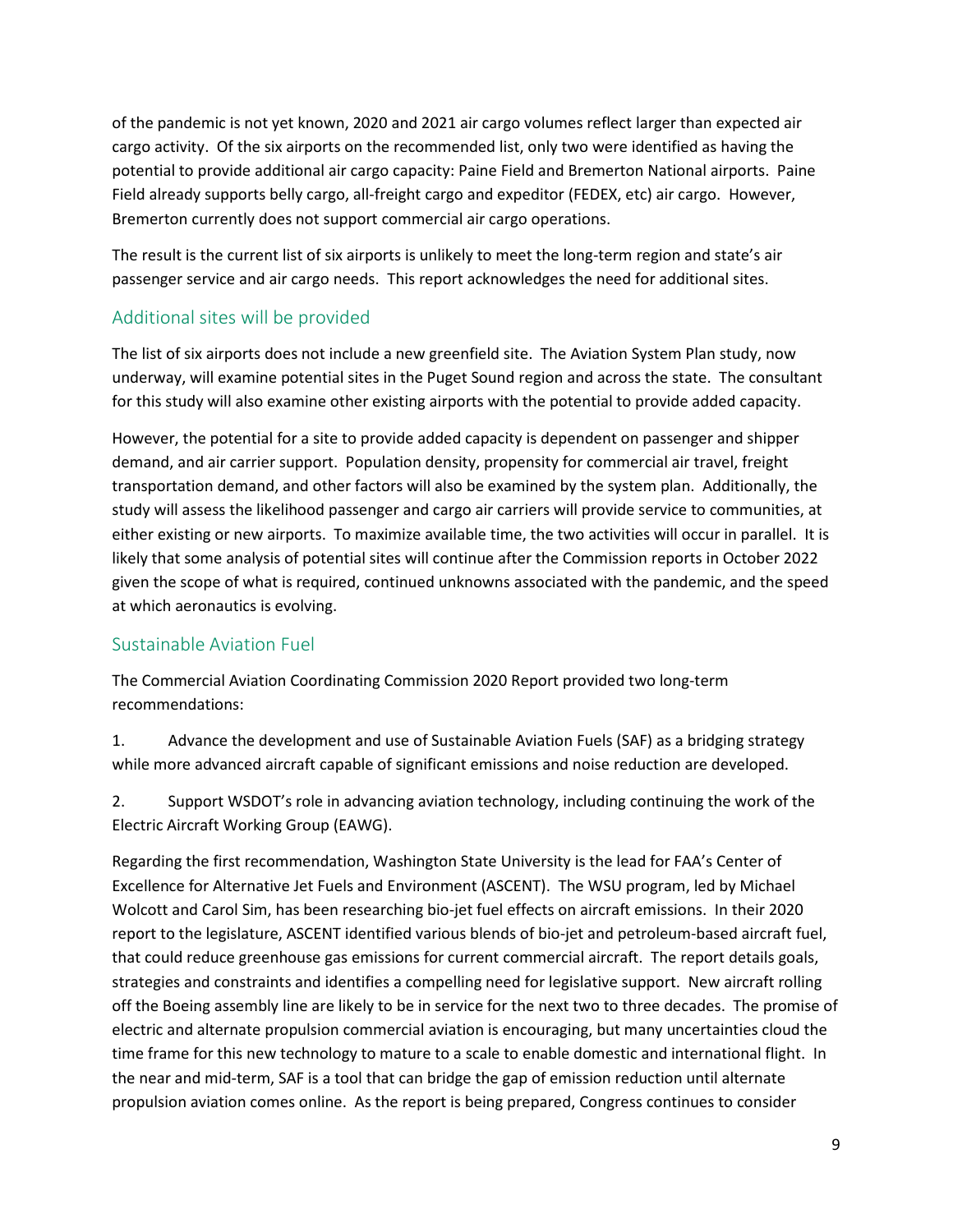of the pandemic is not yet known, 2020 and 2021 air cargo volumes reflect larger than expected air cargo activity. Of the six airports on the recommended list, only two were identified as having the potential to provide additional air cargo capacity: Paine Field and Bremerton National airports. Paine Field already supports belly cargo, all-freight cargo and expeditor (FEDEX, etc) air cargo. However, Bremerton currently does not support commercial air cargo operations.

The result is the current list of six airports is unlikely to meet the long-term region and state's air passenger service and air cargo needs. This report acknowledges the need for additional sites.

## Additional sites will be provided

The list of six airports does not include a new greenfield site. The Aviation System Plan study, now underway, will examine potential sites in the Puget Sound region and across the state. The consultant for this study will also examine other existing airports with the potential to provide added capacity.

However, the potential for a site to provide added capacity is dependent on passenger and shipper demand, and air carrier support. Population density, propensity for commercial air travel, freight transportation demand, and other factors will also be examined by the system plan. Additionally, the study will assess the likelihood passenger and cargo air carriers will provide service to communities, at either existing or new airports. To maximize available time, the two activities will occur in parallel. It is likely that some analysis of potential sites will continue after the Commission reports in October 2022 given the scope of what is required, continued unknowns associated with the pandemic, and the speed at which aeronautics is evolving.

## Sustainable Aviation Fuel

The Commercial Aviation Coordinating Commission 2020 Report provided two long-term recommendations:

1. Advance the development and use of Sustainable Aviation Fuels (SAF) as a bridging strategy while more advanced aircraft capable of significant emissions and noise reduction are developed.

2. Support WSDOT's role in advancing aviation technology, including continuing the work of the Electric Aircraft Working Group (EAWG).

Regarding the first recommendation, Washington State University is the lead for FAA's Center of Excellence for Alternative Jet Fuels and Environment (ASCENT). The WSU program, led by Michael Wolcott and Carol Sim, has been researching bio-jet fuel effects on aircraft emissions. In their 2020 report to the legislature, ASCENT identified various blends of bio-jet and petroleum-based aircraft fuel, that could reduce greenhouse gas emissions for current commercial aircraft. The report details goals, strategies and constraints and identifies a compelling need for legislative support. New aircraft rolling off the Boeing assembly line are likely to be in service for the next two to three decades. The promise of electric and alternate propulsion commercial aviation is encouraging, but many uncertainties cloud the time frame for this new technology to mature to a scale to enable domestic and international flight. In the near and mid-term, SAF is a tool that can bridge the gap of emission reduction until alternate propulsion aviation comes online. As the report is being prepared, Congress continues to consider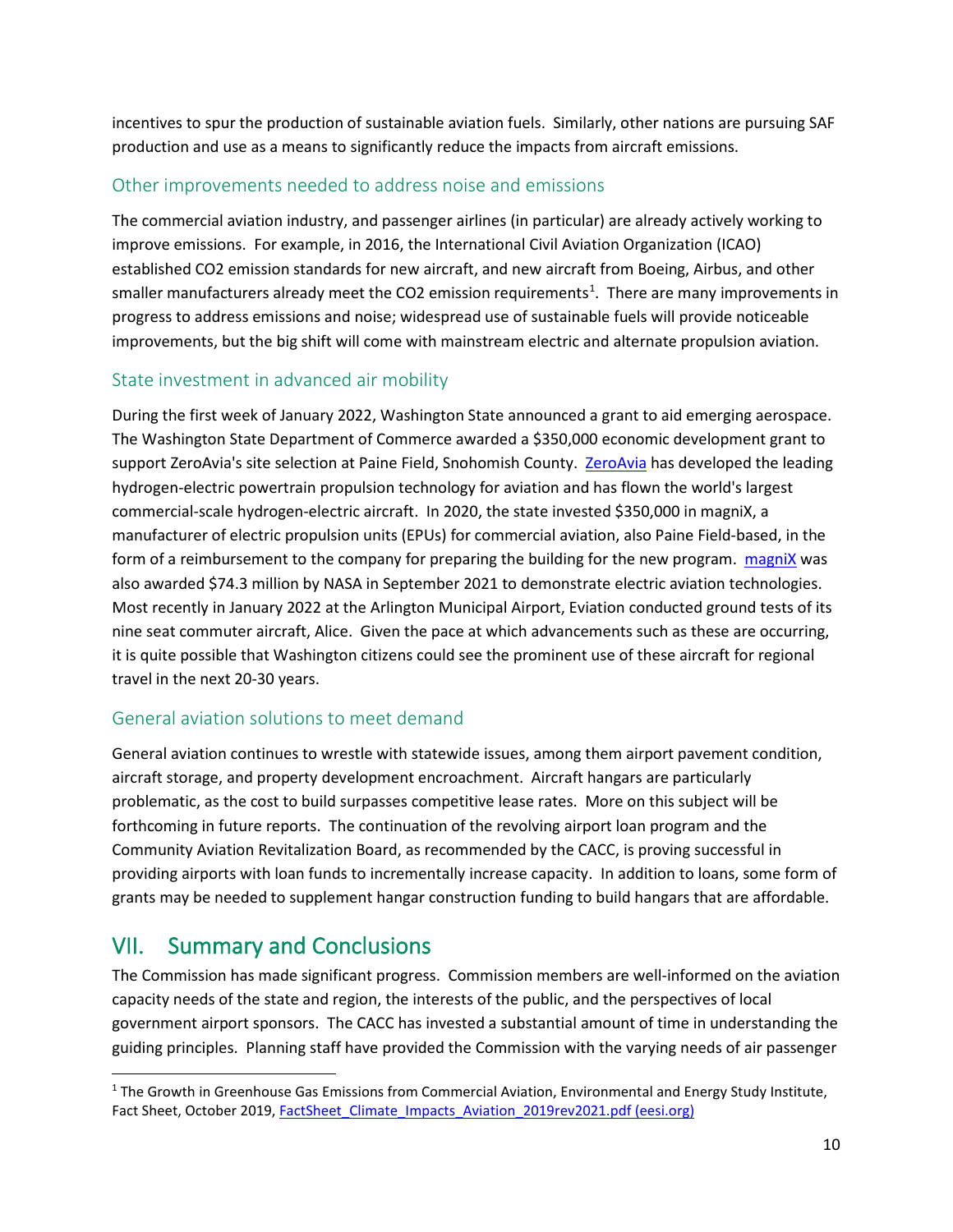incentives to spur the production of sustainable aviation fuels. Similarly, other nations are pursuing SAF production and use as a means to significantly reduce the impacts from aircraft emissions.

## Other improvements needed to address noise and emissions

The commercial aviation industry, and passenger airlines (in particular) are already actively working to improve emissions. For example, in 2016, the International Civil Aviation Organization (ICAO) established CO2 emission standards for new aircraft, and new aircraft from Boeing, Airbus, and other smaller manufacturers already meet the CO2 emission requirements<sup>[1](#page-10-0)</sup>. There are many improvements in progress to address emissions and noise; widespread use of sustainable fuels will provide noticeable improvements, but the big shift will come with mainstream electric and alternate propulsion aviation.

#### State investment in advanced air mobility

During the first week of January 2022, Washington State announced a grant to aid emerging aerospace. The Washington State Department of Commerce awarded a \$350,000 economic development grant to support ZeroAvia's site selection at Paine Field, Snohomish County. [ZeroAvia](https://www.zeroavia.com/) has developed the leading hydrogen-electric powertrain propulsion technology for aviation and has flown the world's largest commercial-scale hydrogen-electric aircraft. In 2020, the state invested \$350,000 in magniX, a manufacturer of electric propulsion units (EPUs) for commercial aviation, also Paine Field-based, in the form of a reimbursement to the company for preparing the building for the new program. [magniX](https://www.magnix.aero/) was also awarded \$74.3 million by NASA in September 2021 to demonstrate electric aviation technologies. Most recently in January 2022 at the Arlington Municipal Airport, Eviation conducted ground tests of its nine seat commuter aircraft, Alice. Given the pace at which advancements such as these are occurring, it is quite possible that Washington citizens could see the prominent use of these aircraft for regional travel in the next 20-30 years.

## General aviation solutions to meet demand

General aviation continues to wrestle with statewide issues, among them airport pavement condition, aircraft storage, and property development encroachment. Aircraft hangars are particularly problematic, as the cost to build surpasses competitive lease rates. More on this subject will be forthcoming in future reports. The continuation of the revolving airport loan program and the Community Aviation Revitalization Board, as recommended by the CACC, is proving successful in providing airports with loan funds to incrementally increase capacity. In addition to loans, some form of grants may be needed to supplement hangar construction funding to build hangars that are affordable.

## VII. Summary and Conclusions

The Commission has made significant progress. Commission members are well-informed on the aviation capacity needs of the state and region, the interests of the public, and the perspectives of local government airport sponsors. The CACC has invested a substantial amount of time in understanding the guiding principles. Planning staff have provided the Commission with the varying needs of air passenger

<span id="page-10-0"></span><sup>&</sup>lt;sup>1</sup> The Growth in Greenhouse Gas Emissions from Commercial Aviation, Environmental and Energy Study Institute, Fact Sheet, October 2019[, FactSheet\\_Climate\\_Impacts\\_Aviation\\_2019rev2021.pdf \(eesi.org\)](https://www.eesi.org/files/FactSheet_Climate_Impacts_Aviation_2019rev2021.pdf)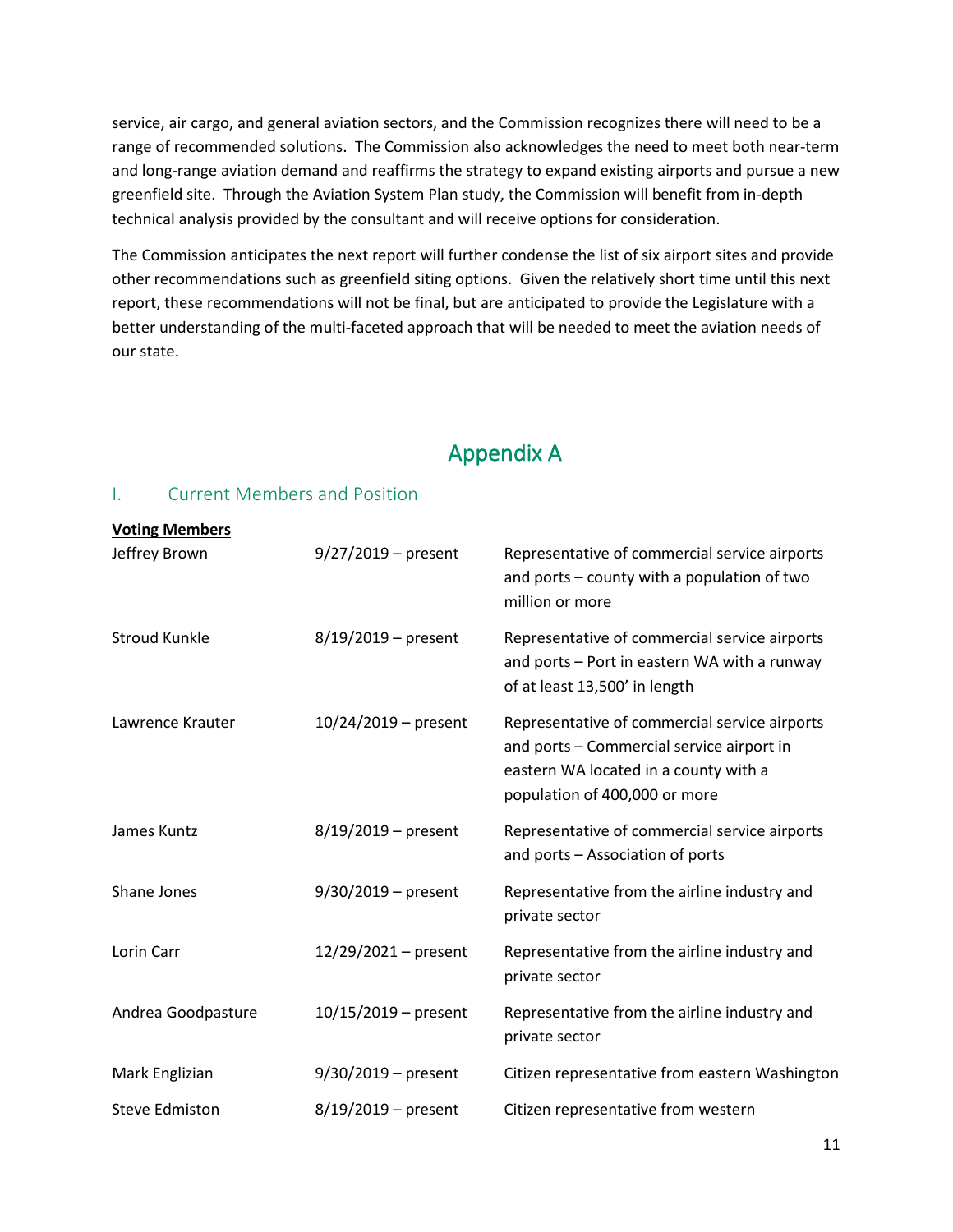service, air cargo, and general aviation sectors, and the Commission recognizes there will need to be a range of recommended solutions. The Commission also acknowledges the need to meet both near-term and long-range aviation demand and reaffirms the strategy to expand existing airports and pursue a new greenfield site. Through the Aviation System Plan study, the Commission will benefit from in-depth technical analysis provided by the consultant and will receive options for consideration.

The Commission anticipates the next report will further condense the list of six airport sites and provide other recommendations such as greenfield siting options. Given the relatively short time until this next report, these recommendations will not be final, but are anticipated to provide the Legislature with a better understanding of the multi-faceted approach that will be needed to meet the aviation needs of our state.

# Appendix A

## I. Current Members and Position

| <b>Voting Members</b> |                        |                                                                                                                                                                      |
|-----------------------|------------------------|----------------------------------------------------------------------------------------------------------------------------------------------------------------------|
| Jeffrey Brown         | $9/27/2019$ – present  | Representative of commercial service airports<br>and ports - county with a population of two<br>million or more                                                      |
| <b>Stroud Kunkle</b>  | $8/19/2019$ – present  | Representative of commercial service airports<br>and ports - Port in eastern WA with a runway<br>of at least 13,500' in length                                       |
| Lawrence Krauter      | $10/24/2019$ – present | Representative of commercial service airports<br>and ports - Commercial service airport in<br>eastern WA located in a county with a<br>population of 400,000 or more |
| James Kuntz           | $8/19/2019$ – present  | Representative of commercial service airports<br>and ports - Association of ports                                                                                    |
| Shane Jones           | $9/30/2019$ – present  | Representative from the airline industry and<br>private sector                                                                                                       |
| Lorin Carr            | $12/29/2021 - present$ | Representative from the airline industry and<br>private sector                                                                                                       |
| Andrea Goodpasture    | $10/15/2019$ – present | Representative from the airline industry and<br>private sector                                                                                                       |
| Mark Englizian        | $9/30/2019$ – present  | Citizen representative from eastern Washington                                                                                                                       |
| <b>Steve Edmiston</b> | $8/19/2019$ – present  | Citizen representative from western                                                                                                                                  |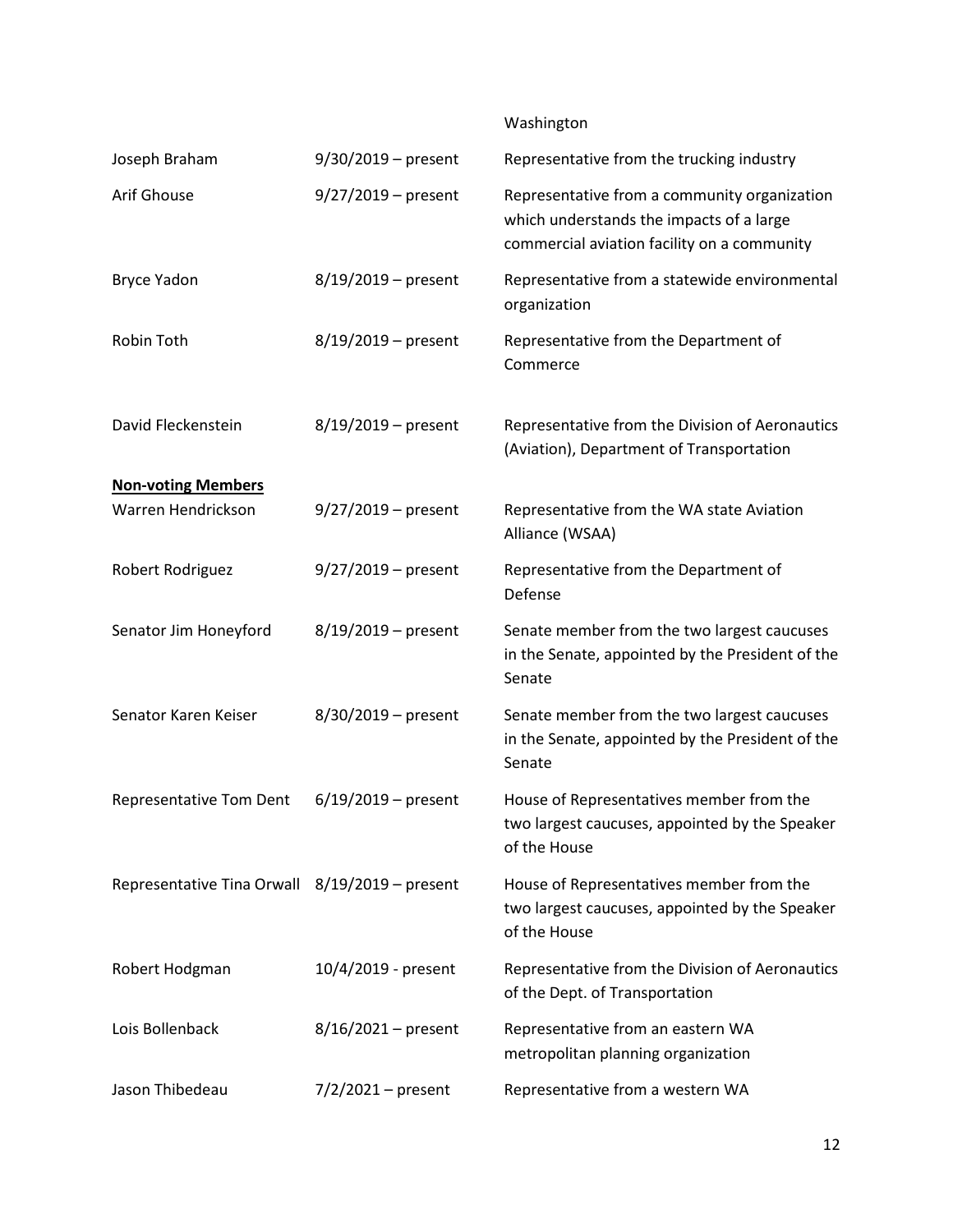## Washington

| Joseph Braham                                   | $9/30/2019$ – present | Representative from the trucking industry                                                                                               |
|-------------------------------------------------|-----------------------|-----------------------------------------------------------------------------------------------------------------------------------------|
| Arif Ghouse                                     | $9/27/2019$ – present | Representative from a community organization<br>which understands the impacts of a large<br>commercial aviation facility on a community |
| <b>Bryce Yadon</b>                              | $8/19/2019$ – present | Representative from a statewide environmental<br>organization                                                                           |
| Robin Toth                                      | $8/19/2019$ – present | Representative from the Department of<br>Commerce                                                                                       |
| David Fleckenstein                              | $8/19/2019$ – present | Representative from the Division of Aeronautics<br>(Aviation), Department of Transportation                                             |
| <b>Non-voting Members</b><br>Warren Hendrickson | $9/27/2019$ – present | Representative from the WA state Aviation<br>Alliance (WSAA)                                                                            |
| Robert Rodriguez                                | $9/27/2019$ – present | Representative from the Department of<br>Defense                                                                                        |
| Senator Jim Honeyford                           | $8/19/2019$ – present | Senate member from the two largest caucuses<br>in the Senate, appointed by the President of the<br>Senate                               |
| Senator Karen Keiser                            | 8/30/2019 - present   | Senate member from the two largest caucuses<br>in the Senate, appointed by the President of the<br>Senate                               |
| Representative Tom Dent                         | $6/19/2019$ – present | House of Representatives member from the<br>two largest caucuses, appointed by the Speaker<br>of the House                              |
| Representative Tina Orwall 8/19/2019 - present  |                       | House of Representatives member from the<br>two largest caucuses, appointed by the Speaker<br>of the House                              |
| Robert Hodgman                                  | 10/4/2019 - present   | Representative from the Division of Aeronautics<br>of the Dept. of Transportation                                                       |
| Lois Bollenback                                 | $8/16/2021 - present$ | Representative from an eastern WA<br>metropolitan planning organization                                                                 |
| Jason Thibedeau                                 | $7/2/2021 - present$  | Representative from a western WA                                                                                                        |